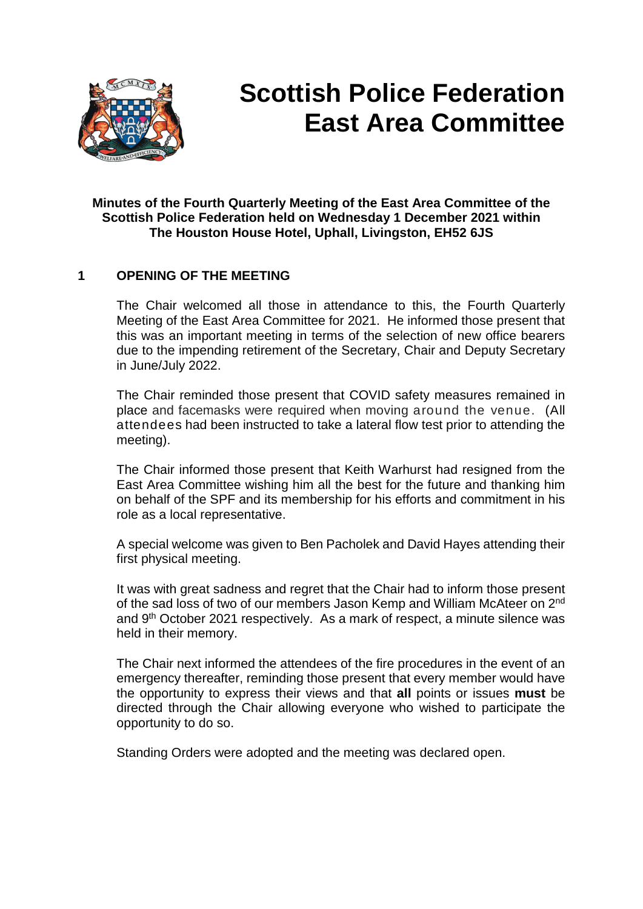

# **Scottish Police Federation East Area Committee**

## **Minutes of the Fourth Quarterly Meeting of the East Area Committee of the Scottish Police Federation held on Wednesday 1 December 2021 within The Houston House Hotel, Uphall, Livingston, EH52 6JS**

## **1 OPENING OF THE MEETING**

The Chair welcomed all those in attendance to this, the Fourth Quarterly Meeting of the East Area Committee for 2021. He informed those present that this was an important meeting in terms of the selection of new office bearers due to the impending retirement of the Secretary, Chair and Deputy Secretary in June/July 2022.

The Chair reminded those present that COVID safety measures remained in place and facemasks were required when moving around the venue. (All attendees had been instructed to take a lateral flow test prior to attending the meeting).

The Chair informed those present that Keith Warhurst had resigned from the East Area Committee wishing him all the best for the future and thanking him on behalf of the SPF and its membership for his efforts and commitment in his role as a local representative.

A special welcome was given to Ben Pacholek and David Hayes attending their first physical meeting.

It was with great sadness and regret that the Chair had to inform those present of the sad loss of two of our members Jason Kemp and William McAteer on 2nd and 9th October 2021 respectively. As a mark of respect, a minute silence was held in their memory.

The Chair next informed the attendees of the fire procedures in the event of an emergency thereafter, reminding those present that every member would have the opportunity to express their views and that **all** points or issues **must** be directed through the Chair allowing everyone who wished to participate the opportunity to do so.

Standing Orders were adopted and the meeting was declared open.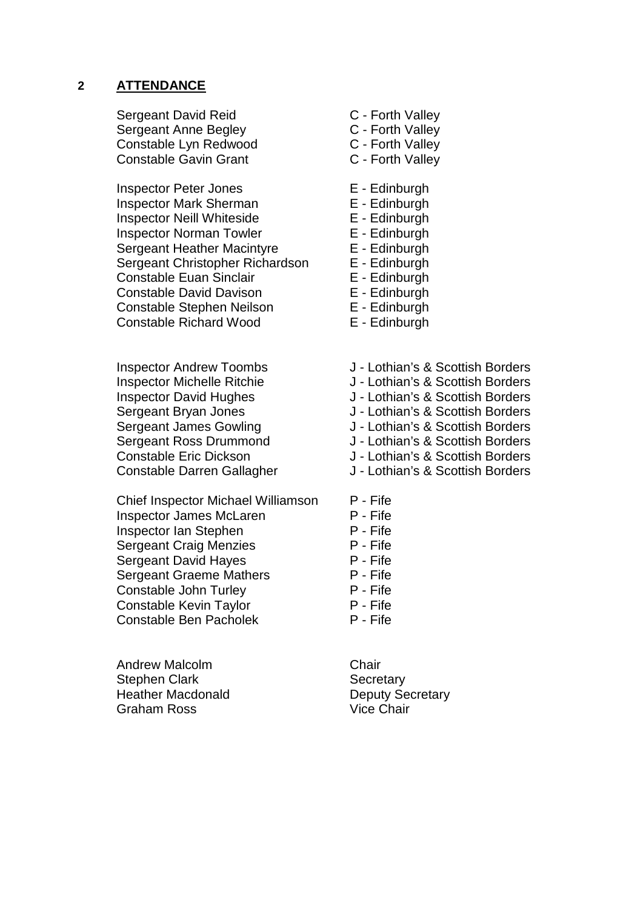#### **2 ATTENDANCE**

Sergeant David Reid C - Forth Valley Sergeant Anne Begley C - Forth Valley Constable Lyn Redwood C - Forth Valley Constable Gavin Grant C - Forth Valley

Inspector Peter Jones E - Edinburgh Inspector Mark Sherman E - Edinburgh Inspector Neill Whiteside E - Edinburgh Inspector Norman Towler **E** - Edinburgh Sergeant Heather Macintyre **E** - Edinburgh Sergeant Christopher Richardson E - Edinburgh Constable Euan Sinclair **E** - Edinburgh Constable David Davison E - Edinburgh Constable Stephen Neilson E - Edinburgh Constable Richard Wood E - Edinburgh

Inspector Andrew Toombs J - Lothian's & Scottish Borders Inspector David Hughes J - Lothian's & Scottish Borders

Chief Inspector Michael Williamson P - Fife Inspector James McLaren P - Fife Inspector Ian Stephen P - Fife Sergeant Craig Menzies **P** - Fife Sergeant David Hayes<br>
Sergeant Graeme Mathers
P - Fife Sergeant Graeme Mathers Constable John Turley **P** - Fife Constable Kevin Taylor **P** - Fife Constable Ben Pacholek P - Fife

Andrew Malcolm **Chair** Stephen Clark Secretary Heather Macdonald **Deputy Secretary** Graham Ross Vice Chair

- 
- 
- 
- 
- 
- 
- 
- 
- 
- 
- 
- 
- 
- 
- 
- Inspector Michelle Ritchie J Lothian's & Scottish Borders
	-
- Sergeant Bryan Jones J Lothian's & Scottish Borders
- Sergeant James Gowling **J** Lothian's & Scottish Borders
- Sergeant Ross Drummond J Lothian's & Scottish Borders
- Constable Eric Dickson J Lothian's & Scottish Borders
- Constable Darren Gallagher J Lothian's & Scottish Borders
	-
	-
	-
	-
	-
	-
	-
	-
	-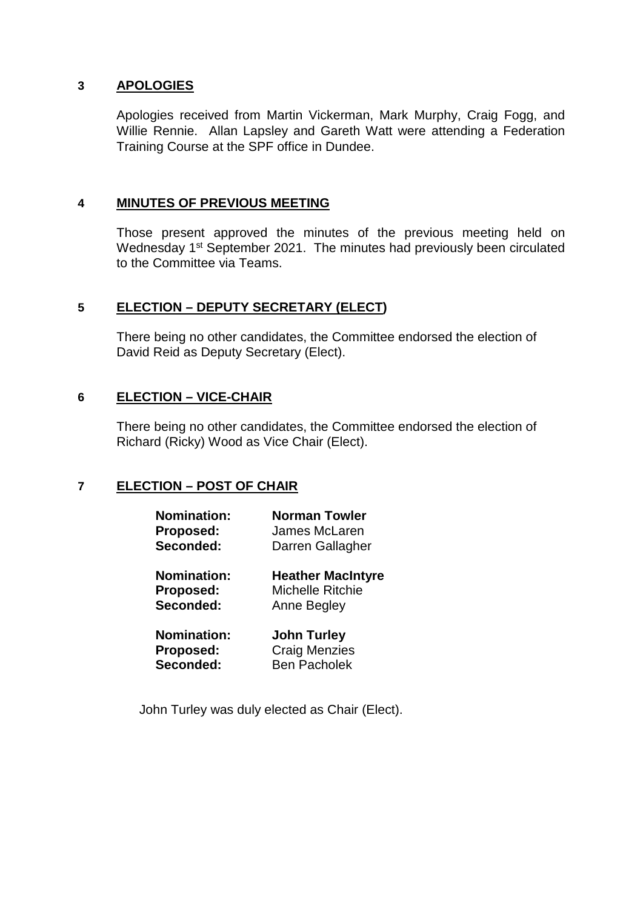## **3 APOLOGIES**

Apologies received from Martin Vickerman, Mark Murphy, Craig Fogg, and Willie Rennie. Allan Lapsley and Gareth Watt were attending a Federation Training Course at the SPF office in Dundee.

## **4 MINUTES OF PREVIOUS MEETING**

Those present approved the minutes of the previous meeting held on Wednesday 1<sup>st</sup> September 2021. The minutes had previously been circulated to the Committee via Teams.

# **5 ELECTION – DEPUTY SECRETARY (ELECT)**

There being no other candidates, the Committee endorsed the election of David Reid as Deputy Secretary (Elect).

## **6 ELECTION – VICE-CHAIR**

There being no other candidates, the Committee endorsed the election of Richard (Ricky) Wood as Vice Chair (Elect).

# **7 ELECTION – POST OF CHAIR**

| <b>Nomination:</b> | Norman Towler            |
|--------------------|--------------------------|
| Proposed:          | James McLaren            |
| Seconded:          | Darren Gallagher         |
| <b>Nomination:</b> | <b>Heather MacIntyre</b> |
| Proposed:          | Michelle Ritchie         |
| Seconded:          | Anne Begley              |
| <b>Nomination:</b> | <b>John Turley</b>       |
| Proposed:          | <b>Craig Menzies</b>     |
| Seconded:          | <b>Ben Pacholek</b>      |

John Turley was duly elected as Chair (Elect).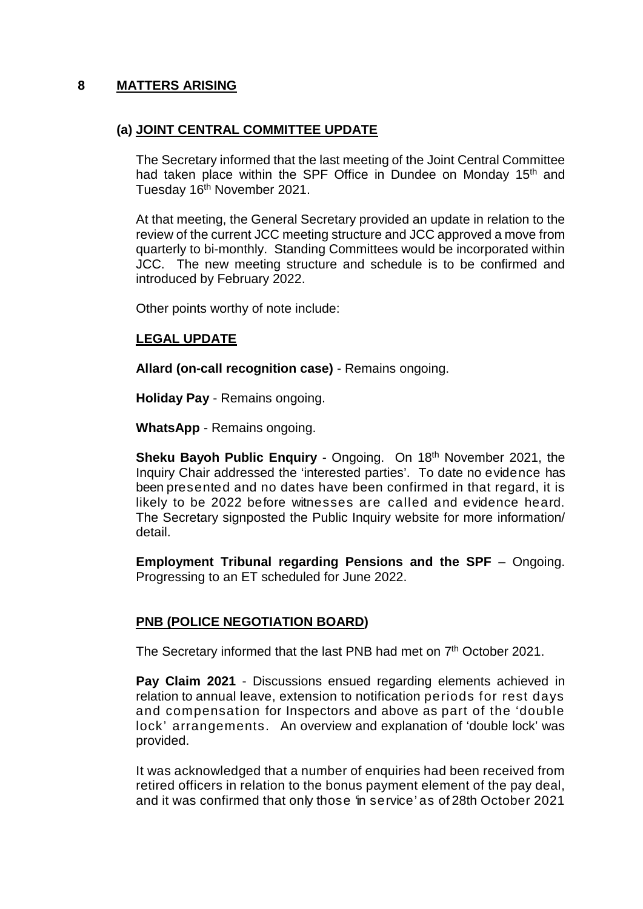## **8 MATTERS ARISING**

## **(a) JOINT CENTRAL COMMITTEE UPDATE**

The Secretary informed that the last meeting of the Joint Central Committee had taken place within the SPF Office in Dundee on Monday 15<sup>th</sup> and Tuesday 16<sup>th</sup> November 2021.

At that meeting, the General Secretary provided an update in relation to the review of the current JCC meeting structure and JCC approved a move from quarterly to bi-monthly. Standing Committees would be incorporated within JCC. The new meeting structure and schedule is to be confirmed and introduced by February 2022.

Other points worthy of note include:

## **LEGAL UPDATE**

**Allard (on-call recognition case)** - Remains ongoing.

**Holiday Pay** - Remains ongoing.

**WhatsApp** - Remains ongoing.

**Sheku Bayoh Public Enquiry** - Ongoing. On 18<sup>th</sup> November 2021, the Inquiry Chair addressed the 'interested parties'. To date no evidence has been presented and no dates have been confirmed in that regard, it is likely to be 2022 before witnesses are called and evidence heard. The Secretary signposted the Public Inquiry website for more information/ detail.

**Employment Tribunal regarding Pensions and the SPF** – Ongoing. Progressing to an ET scheduled for June 2022.

## **PNB (POLICE NEGOTIATION BOARD)**

The Secretary informed that the last PNB had met on 7<sup>th</sup> October 2021.

**Pay Claim 2021** - Discussions ensued regarding elements achieved in relation to annual leave, extension to notification periods for rest days and compensation for Inspectors and above as part of the 'double lock' arrangements. An overview and explanation of 'double lock' was provided.

It was acknowledged that a number of enquiries had been received from retired officers in relation to the bonus payment element of the pay deal, and it was confirmed that only those 'in service' as of 28th October 2021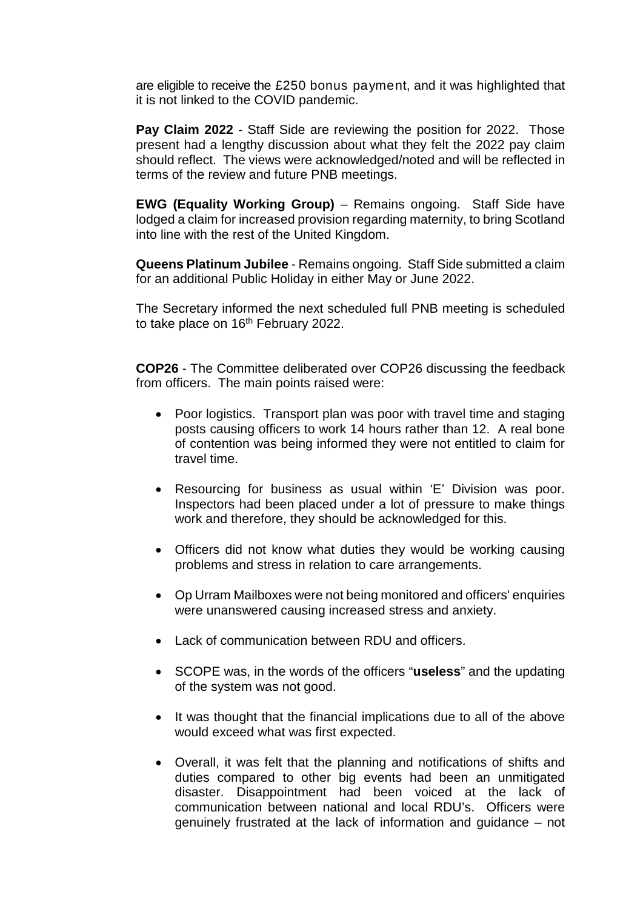are eligible to receive the £250 bonus payment, and it was highlighted that it is not linked to the COVID pandemic.

**Pay Claim 2022** - Staff Side are reviewing the position for 2022. Those present had a lengthy discussion about what they felt the 2022 pay claim should reflect. The views were acknowledged/noted and will be reflected in terms of the review and future PNB meetings.

**EWG (Equality Working Group)** – Remains ongoing. Staff Side have lodged a claim for increased provision regarding maternity, to bring Scotland into line with the rest of the United Kingdom.

**Queens Platinum Jubilee** - Remains ongoing. Staff Side submitted a claim for an additional Public Holiday in either May or June 2022.

The Secretary informed the next scheduled full PNB meeting is scheduled to take place on 16<sup>th</sup> February 2022.

**COP26** - The Committee deliberated over COP26 discussing the feedback from officers. The main points raised were:

- Poor logistics. Transport plan was poor with travel time and staging posts causing officers to work 14 hours rather than 12. A real bone of contention was being informed they were not entitled to claim for travel time.
- Resourcing for business as usual within 'E' Division was poor. Inspectors had been placed under a lot of pressure to make things work and therefore, they should be acknowledged for this.
- Officers did not know what duties they would be working causing problems and stress in relation to care arrangements.
- Op Urram Mailboxes were not being monitored and officers' enquiries were unanswered causing increased stress and anxiety.
- Lack of communication between RDU and officers.
- SCOPE was, in the words of the officers "**useless**" and the updating of the system was not good.
- It was thought that the financial implications due to all of the above would exceed what was first expected.
- Overall, it was felt that the planning and notifications of shifts and duties compared to other big events had been an unmitigated disaster. Disappointment had been voiced at the lack of communication between national and local RDU's. Officers were genuinely frustrated at the lack of information and guidance – not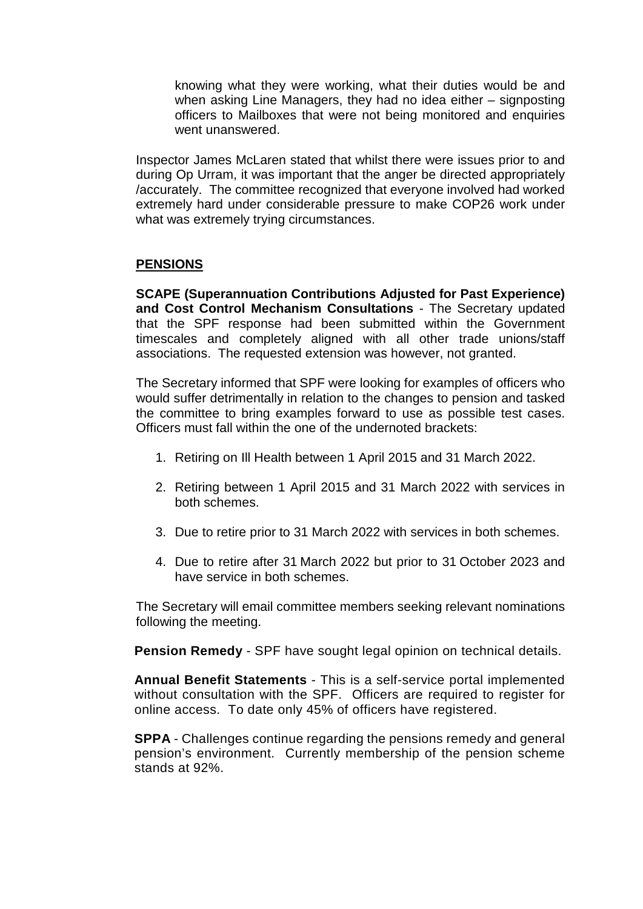knowing what they were working, what their duties would be and when asking Line Managers, they had no idea either – signposting officers to Mailboxes that were not being monitored and enquiries went unanswered.

Inspector James McLaren stated that whilst there were issues prior to and during Op Urram, it was important that the anger be directed appropriately /accurately. The committee recognized that everyone involved had worked extremely hard under considerable pressure to make COP26 work under what was extremely trying circumstances.

## **PENSIONS**

**SCAPE (Superannuation Contributions Adjusted for Past Experience) and Cost Control Mechanism Consultations** - The Secretary updated that the SPF response had been submitted within the Government timescales and completely aligned with all other trade unions/staff associations. The requested extension was however, not granted.

The Secretary informed that SPF were looking for examples of officers who would suffer detrimentally in relation to the changes to pension and tasked the committee to bring examples forward to use as possible test cases. Officers must fall within the one of the undernoted brackets:

- 1. Retiring on Ill Health between 1 April 2015 and 31 March 2022.
- 2. Retiring between 1 April 2015 and 31 March 2022 with services in both schemes.
- 3. Due to retire prior to 31 March 2022 with services in both schemes.
- 4. Due to retire after 31 March 2022 but prior to 31 October 2023 and have service in both schemes.

The Secretary will email committee members seeking relevant nominations following the meeting.

**Pension Remedy** - SPF have sought legal opinion on technical details.

**Annual Benefit Statements** - This is a self-service portal implemented without consultation with the SPF. Officers are required to register for online access. To date only 45% of officers have registered.

**SPPA** - Challenges continue regarding the pensions remedy and general pension's environment. Currently membership of the pension scheme stands at 92%.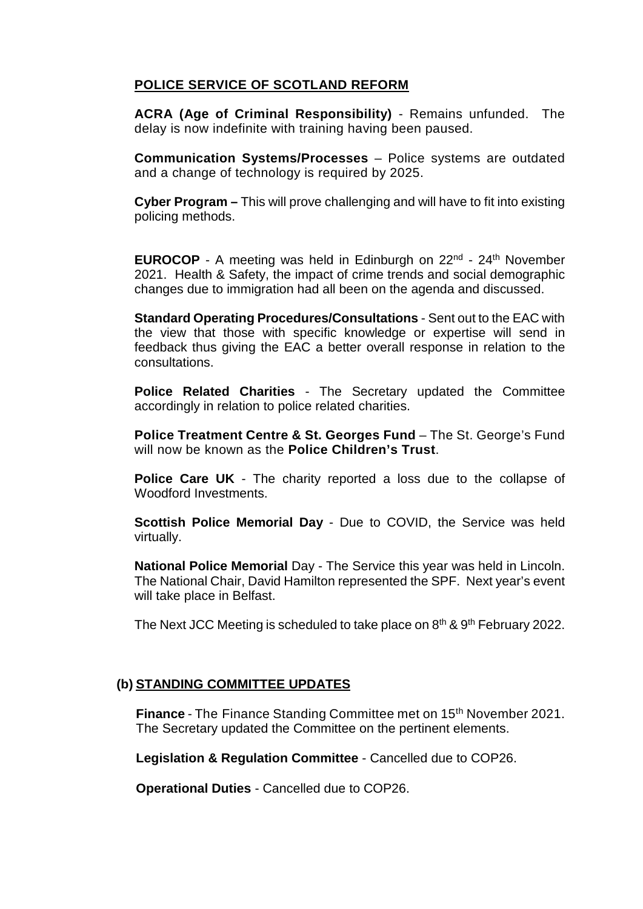# **POLICE SERVICE OF SCOTLAND REFORM**

**ACRA (Age of Criminal Responsibility)** - Remains unfunded. The delay is now indefinite with training having been paused.

**Communication Systems/Processes** – Police systems are outdated and a change of technology is required by 2025.

**Cyber Program –** This will prove challenging and will have to fit into existing policing methods.

**EUROCOP** - A meeting was held in Edinburgh on 22<sup>nd</sup> - 24<sup>th</sup> November 2021. Health & Safety, the impact of crime trends and social demographic changes due to immigration had all been on the agenda and discussed.

**Standard Operating Procedures/Consultations** - Sent out to the EAC with the view that those with specific knowledge or expertise will send in feedback thus giving the EAC a better overall response in relation to the consultations.

**Police Related Charities** - The Secretary updated the Committee accordingly in relation to police related charities.

**Police Treatment Centre & St. Georges Fund** – The St. George's Fund will now be known as the **Police Children's Trust**.

**Police Care UK** - The charity reported a loss due to the collapse of Woodford Investments.

**Scottish Police Memorial Day** - Due to COVID, the Service was held virtually.

**National Police Memorial** Day - The Service this year was held in Lincoln. The National Chair, David Hamilton represented the SPF. Next year's event will take place in Belfast.

The Next JCC Meeting is scheduled to take place on 8<sup>th</sup> & 9<sup>th</sup> February 2022.

## **(b) STANDING COMMITTEE UPDATES**

**Finance** - The Finance Standing Committee met on 15<sup>th</sup> November 2021. The Secretary updated the Committee on the pertinent elements.

**Legislation & Regulation Committee** - Cancelled due to COP26.

**Operational Duties** - Cancelled due to COP26.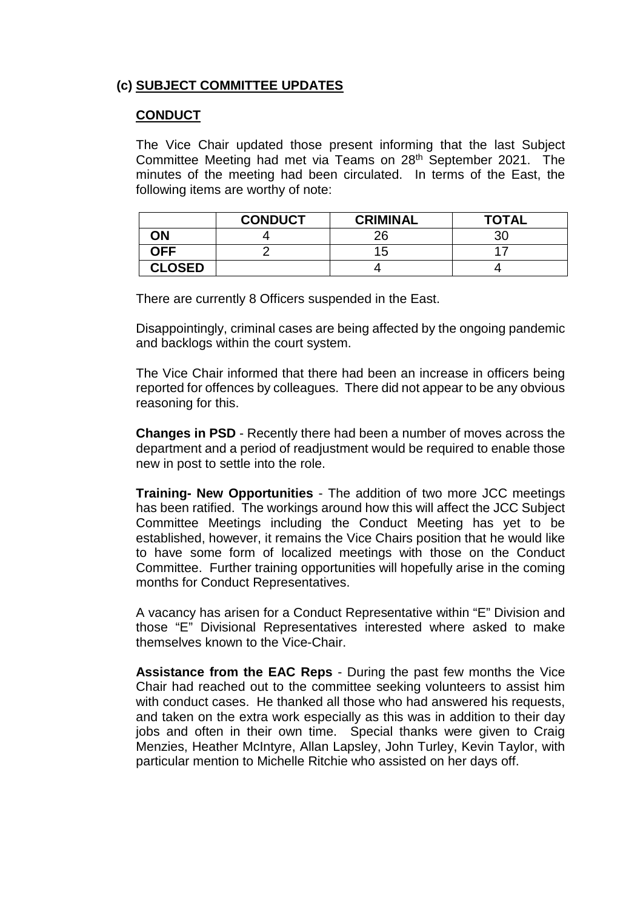# **(c) SUBJECT COMMITTEE UPDATES**

#### **CONDUCT**

The Vice Chair updated those present informing that the last Subject Committee Meeting had met via Teams on 28<sup>th</sup> September 2021. The minutes of the meeting had been circulated. In terms of the East, the following items are worthy of note:

|               | <b>CONDUCT</b> | <b>CRIMINAL</b> | <b>TOTAL</b> |
|---------------|----------------|-----------------|--------------|
| ΟN            |                | 26              |              |
| <b>OFF</b>    |                | 15              |              |
| <b>CLOSED</b> |                |                 |              |

There are currently 8 Officers suspended in the East.

Disappointingly, criminal cases are being affected by the ongoing pandemic and backlogs within the court system.

The Vice Chair informed that there had been an increase in officers being reported for offences by colleagues. There did not appear to be any obvious reasoning for this.

**Changes in PSD** - Recently there had been a number of moves across the department and a period of readjustment would be required to enable those new in post to settle into the role.

**Training- New Opportunities** - The addition of two more JCC meetings has been ratified. The workings around how this will affect the JCC Subject Committee Meetings including the Conduct Meeting has yet to be established, however, it remains the Vice Chairs position that he would like to have some form of localized meetings with those on the Conduct Committee. Further training opportunities will hopefully arise in the coming months for Conduct Representatives.

A vacancy has arisen for a Conduct Representative within "E" Division and those "E" Divisional Representatives interested where asked to make themselves known to the Vice-Chair.

**Assistance from the EAC Reps** - During the past few months the Vice Chair had reached out to the committee seeking volunteers to assist him with conduct cases. He thanked all those who had answered his requests, and taken on the extra work especially as this was in addition to their day jobs and often in their own time. Special thanks were given to Craig Menzies, Heather McIntyre, Allan Lapsley, John Turley, Kevin Taylor, with particular mention to Michelle Ritchie who assisted on her days off.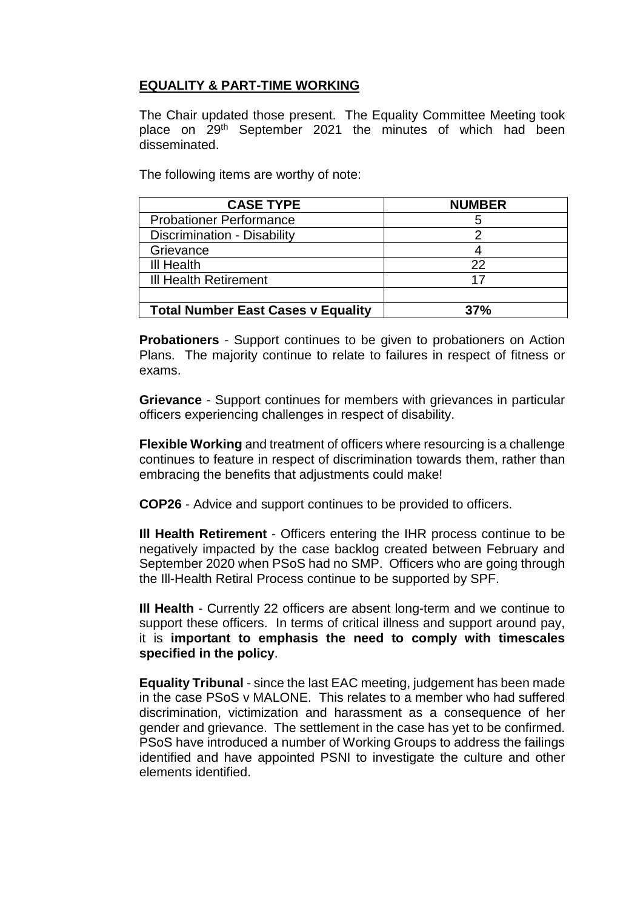# **EQUALITY & PART-TIME WORKING**

The Chair updated those present. The Equality Committee Meeting took place on 29th September 2021 the minutes of which had been disseminated.

The following items are worthy of note:

| <b>CASE TYPE</b>                          | <b>NUMBER</b> |
|-------------------------------------------|---------------|
| <b>Probationer Performance</b>            |               |
| Discrimination - Disability               |               |
| Grievance                                 |               |
| <b>III Health</b>                         | つつ            |
| III Health Retirement                     | 17            |
|                                           |               |
| <b>Total Number East Cases v Equality</b> | 37%           |

**Probationers** - Support continues to be given to probationers on Action Plans. The majority continue to relate to failures in respect of fitness or exams.

**Grievance** - Support continues for members with grievances in particular officers experiencing challenges in respect of disability.

**Flexible Working** and treatment of officers where resourcing is a challenge continues to feature in respect of discrimination towards them, rather than embracing the benefits that adjustments could make!

**COP26** - Advice and support continues to be provided to officers.

**Ill Health Retirement** - Officers entering the IHR process continue to be negatively impacted by the case backlog created between February and September 2020 when PSoS had no SMP. Officers who are going through the Ill-Health Retiral Process continue to be supported by SPF.

**Ill Health** - Currently 22 officers are absent long-term and we continue to support these officers. In terms of critical illness and support around pay, it is **important to emphasis the need to comply with timescales specified in the policy**.

**Equality Tribunal** - since the last EAC meeting, judgement has been made in the case PSoS v MALONE. This relates to a member who had suffered discrimination, victimization and harassment as a consequence of her gender and grievance. The settlement in the case has yet to be confirmed. PSoS have introduced a number of Working Groups to address the failings identified and have appointed PSNI to investigate the culture and other elements identified.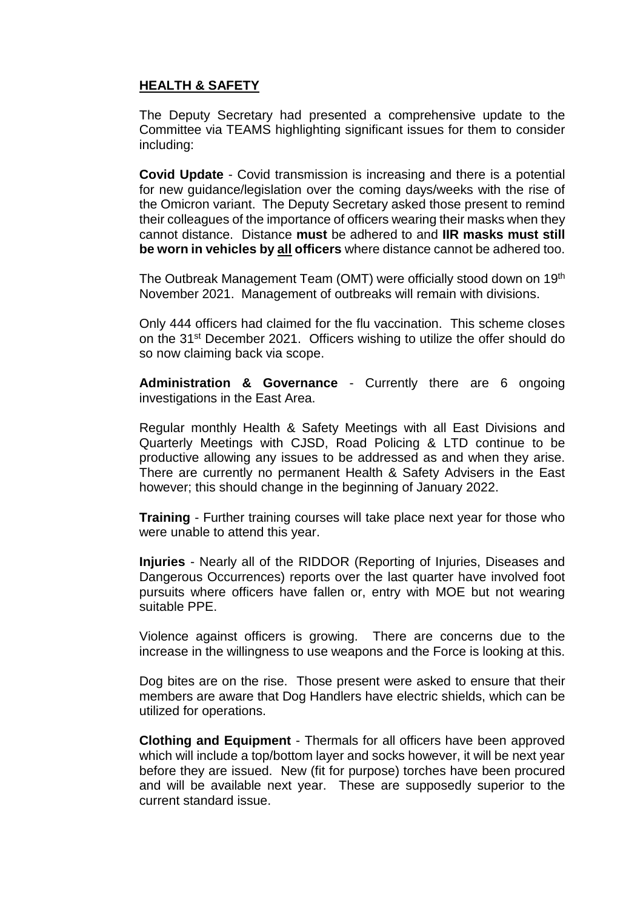# **HEALTH & SAFETY**

The Deputy Secretary had presented a comprehensive update to the Committee via TEAMS highlighting significant issues for them to consider including:

**Covid Update** - Covid transmission is increasing and there is a potential for new guidance/legislation over the coming days/weeks with the rise of the Omicron variant. The Deputy Secretary asked those present to remind their colleagues of the importance of officers wearing their masks when they cannot distance. Distance **must** be adhered to and **IIR masks must still be worn in vehicles by all officers** where distance cannot be adhered too.

The Outbreak Management Team (OMT) were officially stood down on 19<sup>th</sup> November 2021. Management of outbreaks will remain with divisions.

Only 444 officers had claimed for the flu vaccination. This scheme closes on the 31<sup>st</sup> December 2021. Officers wishing to utilize the offer should do so now claiming back via scope.

**Administration & Governance** - Currently there are 6 ongoing investigations in the East Area.

Regular monthly Health & Safety Meetings with all East Divisions and Quarterly Meetings with CJSD, Road Policing & LTD continue to be productive allowing any issues to be addressed as and when they arise. There are currently no permanent Health & Safety Advisers in the East however; this should change in the beginning of January 2022.

**Training** - Further training courses will take place next year for those who were unable to attend this year.

**Injuries** - Nearly all of the RIDDOR (Reporting of Injuries, Diseases and Dangerous Occurrences) reports over the last quarter have involved foot pursuits where officers have fallen or, entry with MOE but not wearing suitable PPE.

Violence against officers is growing. There are concerns due to the increase in the willingness to use weapons and the Force is looking at this.

Dog bites are on the rise. Those present were asked to ensure that their members are aware that Dog Handlers have electric shields, which can be utilized for operations.

**Clothing and Equipment** - Thermals for all officers have been approved which will include a top/bottom layer and socks however, it will be next year before they are issued. New (fit for purpose) torches have been procured and will be available next year. These are supposedly superior to the current standard issue.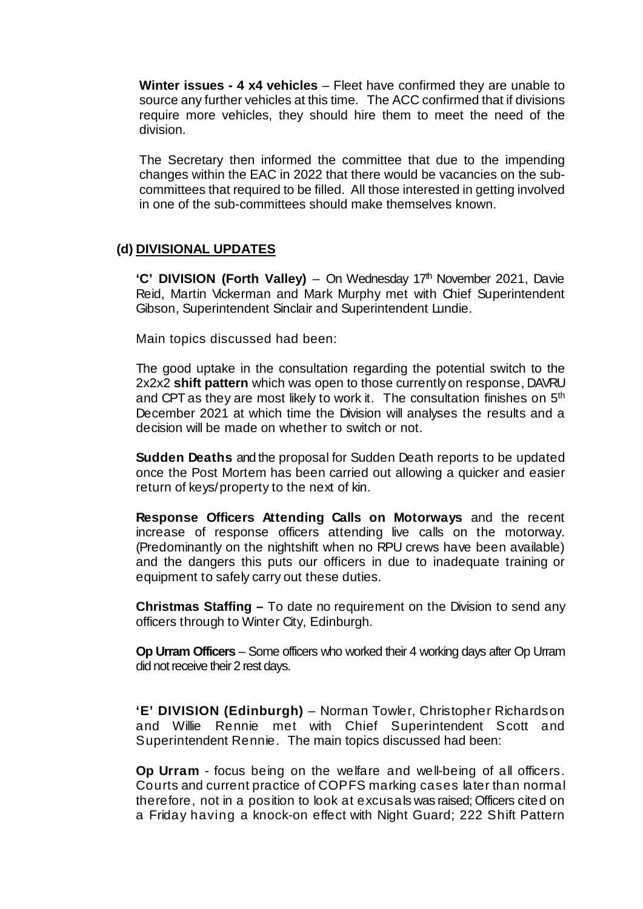**Winter issues - 4 x4 vehicles** – Fleet have confirmed they are unable to source any further vehicles at this time. The ACC confirmed that if divisions require more vehicles, they should hire them to meet the need of the division.

The Secretary then informed the committee that due to the impending changes within the EAC in 2022 that there would be vacancies on the subcommittees that required to be filled. All those interested in getting involved in one of the sub-committees should make themselves known.

#### **(d) DIVISIONAL UPDATES**

'C' DIVISION (Forth Valley) – On Wednesday 17<sup>th</sup> November 2021, Davie Reid, Martin Vickerman and Mark Murphy met with Chief Superintendent Gibson, Superintendent Sinclair and Superintendent Lundie.

Main topics discussed had been:

The good uptake in the consultation regarding the potential switch to the 2x2x2 **shift pattern** which was open to those currently on response, DAVRU and CPT as they are most likely to work it. The consultation finishes on 5<sup>th</sup> December 2021 at which time the Division will analyses the results and a decision will be made on whether to switch or not.

**Sudden Deaths** and the proposal for Sudden Death reports to be updated once the Post Mortem has been carried out allowing a quicker and easier return of keys/property to the next of kin.

**Response Officers Attending Calls on Motorways** and the recent increase of response officers attending live calls on the motorway. (Predominantly on the nightshift when no RPU crews have been available) and the dangers this puts our officers in due to inadequate training or equipment to safely carry out these duties.

**Christmas Staffing –** To date no requirement on the Division to send any officers through to Winter City, Edinburgh.

**Op Urram Officers** – Some officers who worked their 4 working days after Op Urram did not receive their 2 rest days.

**'E' DIVISION (Edinburgh)** – Norman Towler, Christopher Richardson and Willie Rennie met with Chief Superintendent Scott and Superintendent Rennie. The main topics discussed had been:

**Op Urram** - focus being on the welfare and well-being of all officers. Courts and current practice of COPFS marking cases later than normal therefore, not in a position to look at excusals was raised; Officers cited on a Friday having a knock-on effect with Night Guard; 222 Shift Pattern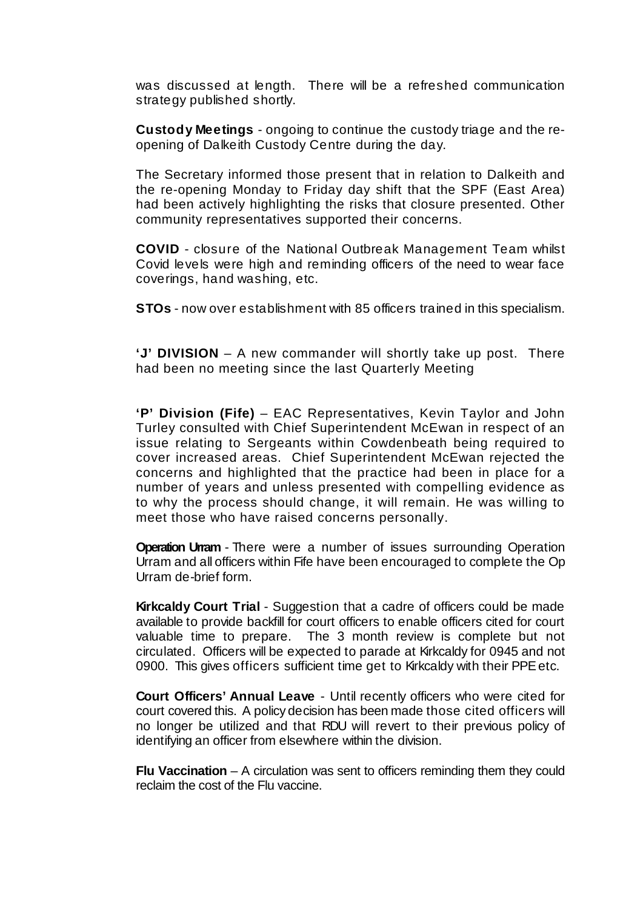was discussed at length. There will be a refreshed communication strategy published shortly.

**Custody Meetings** - ongoing to continue the custody triage and the reopening of Dalkeith Custody Centre during the day.

The Secretary informed those present that in relation to Dalkeith and the re-opening Monday to Friday day shift that the SPF (East Area) had been actively highlighting the risks that closure presented. Other community representatives supported their concerns.

**COVID** - closure of the National Outbreak Management Team whilst Covid levels were high and reminding officers of the need to wear face coverings, hand washing, etc.

**STOs** - now over establishment with 85 officers trained in this specialism.

**'J' DIVISION** – A new commander will shortly take up post. There had been no meeting since the last Quarterly Meeting

**'P' Division (Fife)** – EAC Representatives, Kevin Taylor and John Turley consulted with Chief Superintendent McEwan in respect of an issue relating to Sergeants within Cowdenbeath being required to cover increased areas. Chief Superintendent McEwan rejected the concerns and highlighted that the practice had been in place for a number of years and unless presented with compelling evidence as to why the process should change, it will remain. He was willing to meet those who have raised concerns personally.

**Operation Urram** - There were a number of issues surrounding Operation Urram and all officers within Fife have been encouraged to complete the Op Urram de-brief form.

**Kirkcaldy Court Trial** - Suggestion that a cadre of officers could be made available to provide backfill for court officers to enable officers cited for court valuable time to prepare. The 3 month review is complete but not circulated. Officers will be expected to parade at Kirkcaldy for 0945 and not 0900. This gives officers sufficient time get to Kirkcaldy with their PPE etc.

**Court Officers' Annual Leave** - Until recently officers who were cited for court covered this. A policy decision has been made those cited officers will no longer be utilized and that RDU will revert to their previous policy of identifying an officer from elsewhere within the division.

**Flu Vaccination** – A circulation was sent to officers reminding them they could reclaim the cost of the Flu vaccine.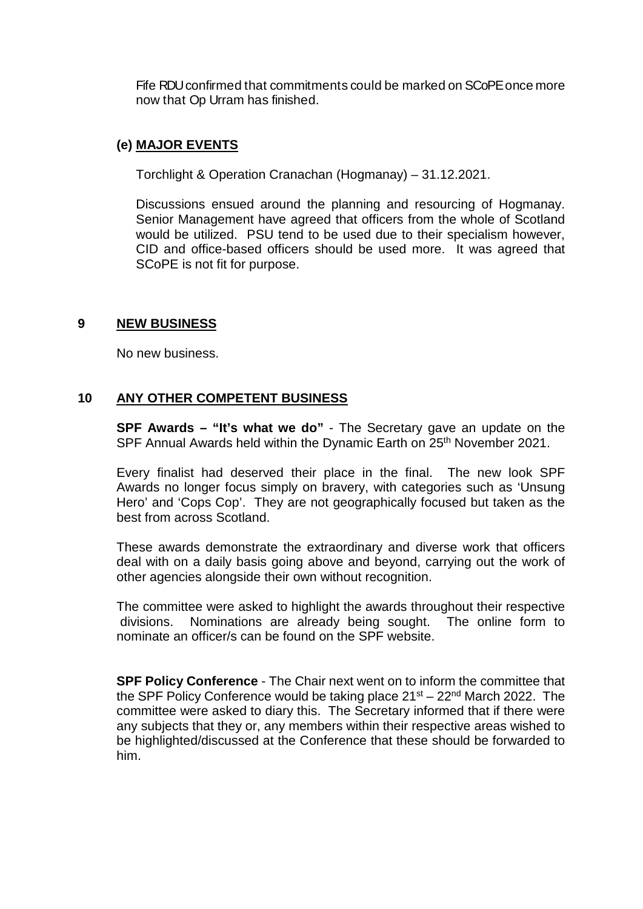Fife RDU confirmed that commitments could be marked on SCoPE once more now that Op Urram has finished.

## **(e) MAJOR EVENTS**

Torchlight & Operation Cranachan (Hogmanay) – 31.12.2021.

Discussions ensued around the planning and resourcing of Hogmanay. Senior Management have agreed that officers from the whole of Scotland would be utilized. PSU tend to be used due to their specialism however, CID and office-based officers should be used more. It was agreed that SCoPE is not fit for purpose.

## **9 NEW BUSINESS**

No new business.

## **10 ANY OTHER COMPETENT BUSINESS**

**SPF Awards – "It's what we do"** - The Secretary gave an update on the SPF Annual Awards held within the Dynamic Earth on 25<sup>th</sup> November 2021.

Every finalist had deserved their place in the final. The new look SPF Awards no longer focus simply on bravery, with categories such as 'Unsung Hero' and 'Cops Cop'. They are not geographically focused but taken as the best from across Scotland.

These awards demonstrate the extraordinary and diverse work that officers deal with on a daily basis going above and beyond, carrying out the work of other agencies alongside their own without recognition.

The committee were asked to highlight the awards throughout their respective divisions. Nominations are already being sought. The online form to nominate an officer/s can be found on the SPF website.

**SPF Policy Conference** - The Chair next went on to inform the committee that the SPF Policy Conference would be taking place  $21^{st} - 22^{nd}$  March 2022. The committee were asked to diary this. The Secretary informed that if there were any subjects that they or, any members within their respective areas wished to be highlighted/discussed at the Conference that these should be forwarded to him.